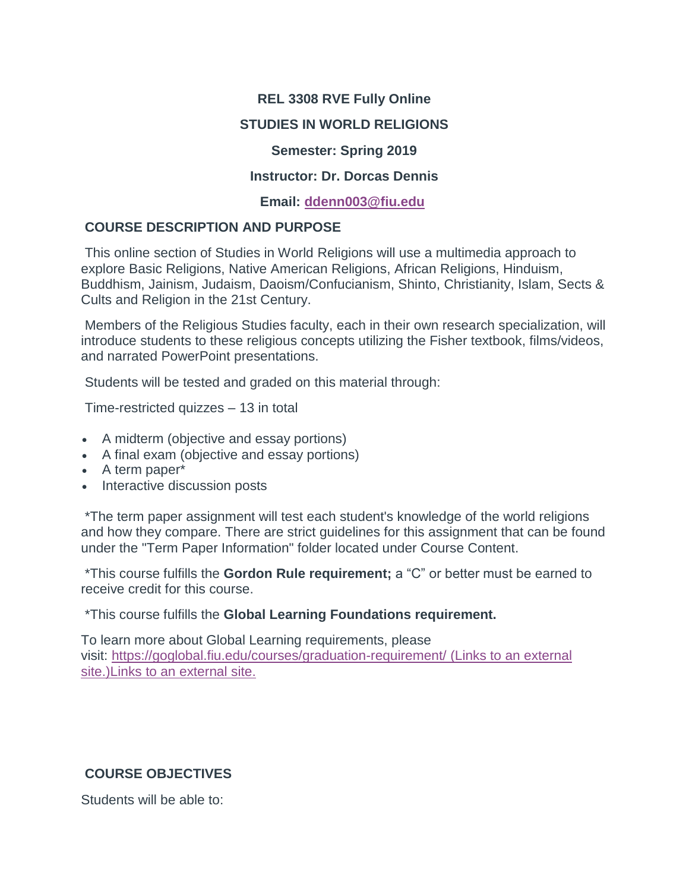### **REL 3308 RVE Fully Online**

### **STUDIES IN WORLD RELIGIONS**

#### **Semester: Spring 2019**

#### **Instructor: Dr. Dorcas Dennis**

#### **Email: [ddenn003@fiu.edu](mailto:ddenn003@fiu.edu)**

### **COURSE DESCRIPTION AND PURPOSE**

This online section of Studies in World Religions will use a multimedia approach to explore Basic Religions, Native American Religions, African Religions, Hinduism, Buddhism, Jainism, Judaism, Daoism/Confucianism, Shinto, Christianity, Islam, Sects & Cults and Religion in the 21st Century.

Members of the Religious Studies faculty, each in their own research specialization, will introduce students to these religious concepts utilizing the Fisher textbook, films/videos, and narrated PowerPoint presentations.

Students will be tested and graded on this material through:

Time-restricted quizzes – 13 in total

- A midterm (objective and essay portions)
- A final exam (objective and essay portions)
- A term paper\*
- Interactive discussion posts

\*The term paper assignment will test each student's knowledge of the world religions and how they compare. There are strict guidelines for this assignment that can be found under the "Term Paper Information" folder located under Course Content.

\*This course fulfills the **Gordon Rule requirement;** a "C" or better must be earned to receive credit for this course.

\*This course fulfills the **Global Learning Foundations requirement.**

To learn more about Global Learning requirements, please visit: <https://goglobal.fiu.edu/courses/graduation-requirement/> (Links to an external [site.\)Links](https://goglobal.fiu.edu/courses/graduation-requirement/) to an external site.

# **COURSE OBJECTIVES**

Students will be able to: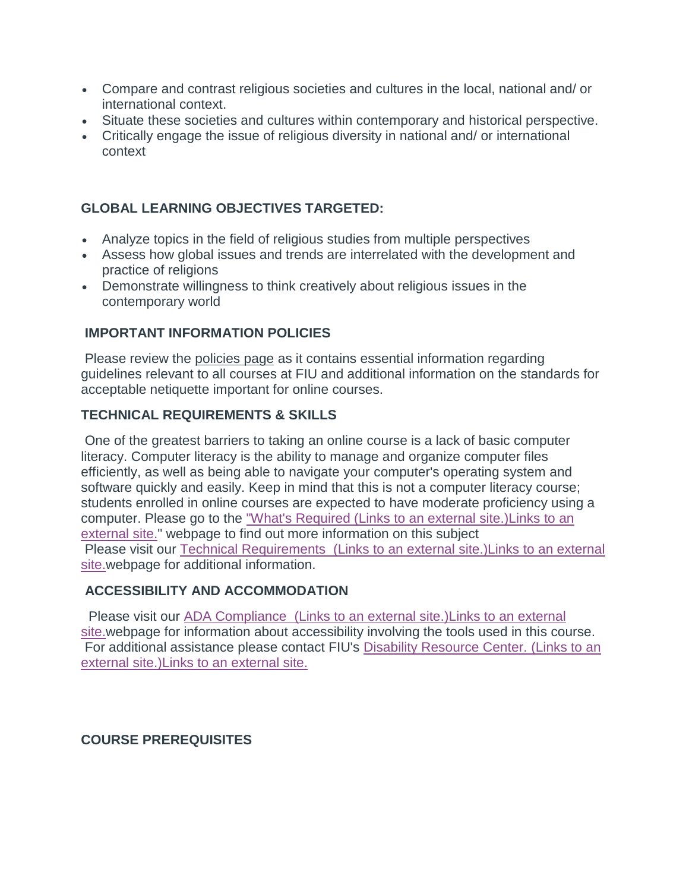- Compare and contrast religious societies and cultures in the local, national and/ or international context.
- Situate these societies and cultures within contemporary and historical perspective.
- Critically engage the issue of religious diversity in national and/ or international context

# **GLOBAL LEARNING OBJECTIVES TARGETED:**

- Analyze topics in the field of religious studies from multiple perspectives
- Assess how global issues and trends are interrelated with the development and practice of religions
- Demonstrate willingness to think creatively about religious issues in the contemporary world

### **IMPORTANT INFORMATION POLICIES**

Please review the policies page as it contains essential information regarding guidelines relevant to all courses at FIU and additional information on the standards for acceptable netiquette important for online courses.

# **TECHNICAL REQUIREMENTS & SKILLS**

One of the greatest barriers to taking an online course is a lack of basic computer literacy. Computer literacy is the ability to manage and organize computer files efficiently, as well as being able to navigate your computer's operating system and software quickly and easily. Keep in mind that this is not a computer literacy course; students enrolled in online courses are expected to have moderate proficiency using a computer. Please go to the ["What's Required](http://online.fiu.edu/futurestudents/whatsrequired) (Links to an external site.)Links to an [external](http://online.fiu.edu/futurestudents/whatsrequired) site." webpage to find out more information on this subject Please visit our [Technical Requirements](http://online.fiu.edu/app/webroot/html/blackboardlearn/mastertemplate/technical_requirements/) (Links to an external site.)Links to an external [site.w](http://online.fiu.edu/app/webroot/html/blackboardlearn/mastertemplate/technical_requirements/)ebpage for additional information.

# **ACCESSIBILITY AND ACCOMMODATION**

 Please visit our [ADA Compliance](http://online.fiu.edu/app/webroot/html/blackboardlearn/mastertemplate/accessibility/) (Links to an external site.)Links to an external [site.w](http://online.fiu.edu/app/webroot/html/blackboardlearn/mastertemplate/accessibility/)ebpage for information about accessibility involving the tools used in this course. For additional assistance please contact FIU's [Disability Resource Center.](http://drc.fiu.edu/) (Links to an external [site.\)Links](http://drc.fiu.edu/) to an external site.

# **COURSE PREREQUISITES**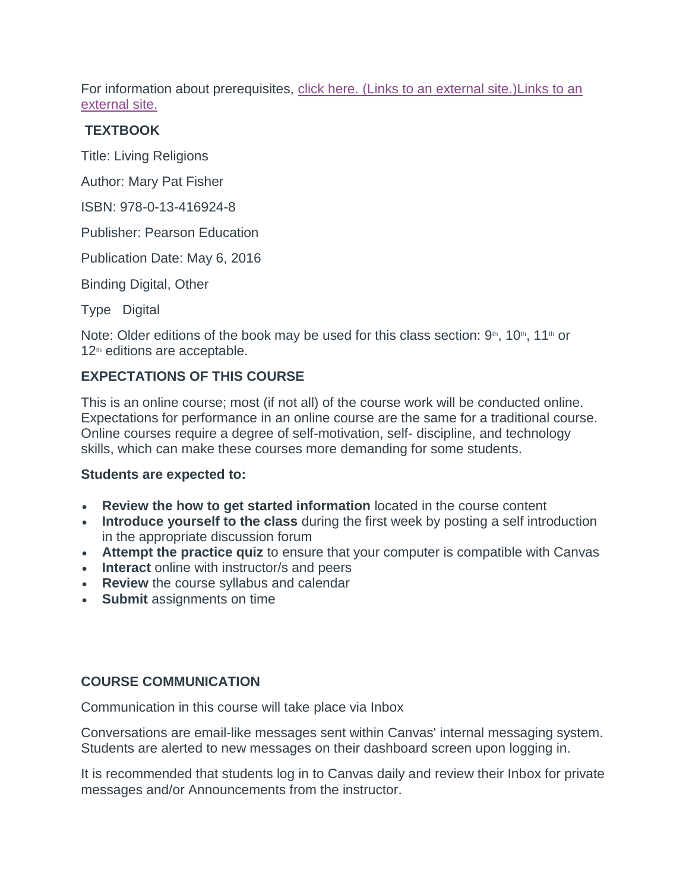For information about prerequisites, click here. (Links to an external [site.\)Links](http://catalog.fiu.edu/coursesearch/index.php) to an [external](http://catalog.fiu.edu/coursesearch/index.php) site.

#### **TEXTBOOK**

Title: Living Religions

Author: Mary Pat Fisher

ISBN: 978-0-13-416924-8

Publisher: Pearson Education

Publication Date: May 6, 2016

Binding Digital, Other

Type Digital

Note: Older editions of the book may be used for this class section:  $9<sup>th</sup>$ ,  $10<sup>th</sup>$ ,  $11<sup>th</sup>$  or 12<sup>th</sup> editions are acceptable.

# **EXPECTATIONS OF THIS COURSE**

This is an online course; most (if not all) of the course work will be conducted online. Expectations for performance in an online course are the same for a traditional course. Online courses require a degree of self-motivation, self- discipline, and technology skills, which can make these courses more demanding for some students.

#### **Students are expected to:**

- **Review the how to get started information** located in the course content
- **Introduce yourself to the class** during the first week by posting a self introduction in the appropriate discussion forum
- **Attempt the practice quiz** to ensure that your computer is compatible with Canvas
- **Interact** online with instructor/s and peers
- **Review** the course syllabus and calendar
- **Submit** assignments on time

# **COURSE COMMUNICATION**

Communication in this course will take place via Inbox

Conversations are email-like messages sent within Canvas' internal messaging system. Students are alerted to new messages on their dashboard screen upon logging in.

It is recommended that students log in to Canvas daily and review their Inbox for private messages and/or Announcements from the instructor.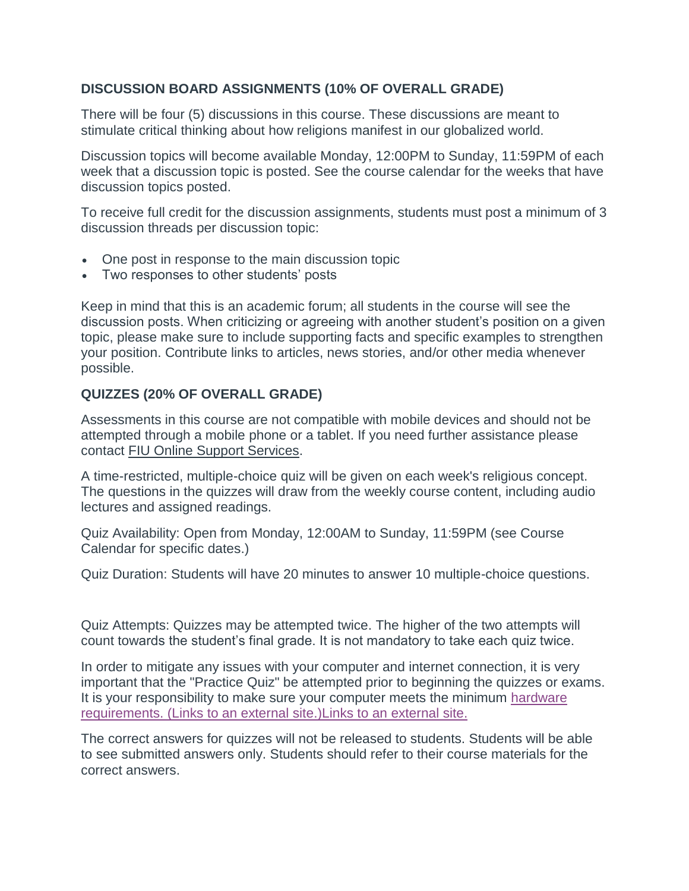# **DISCUSSION BOARD ASSIGNMENTS (10% OF OVERALL GRADE)**

There will be four (5) discussions in this course. These discussions are meant to stimulate critical thinking about how religions manifest in our globalized world.

Discussion topics will become available Monday, 12:00PM to Sunday, 11:59PM of each week that a discussion topic is posted. See the course calendar for the weeks that have discussion topics posted.

To receive full credit for the discussion assignments, students must post a minimum of 3 discussion threads per discussion topic:

- One post in response to the main discussion topic
- Two responses to other students' posts

Keep in mind that this is an academic forum; all students in the course will see the discussion posts. When criticizing or agreeing with another student's position on a given topic, please make sure to include supporting facts and specific examples to strengthen your position. Contribute links to articles, news stories, and/or other media whenever possible.

# **QUIZZES (20% OF OVERALL GRADE)**

Assessments in this course are not compatible with mobile devices and should not be attempted through a mobile phone or a tablet. If you need further assistance please contact FIU Online Support Services.

A time-restricted, multiple-choice quiz will be given on each week's religious concept. The questions in the quizzes will draw from the weekly course content, including audio lectures and assigned readings.

Quiz Availability: Open from Monday, 12:00AM to Sunday, 11:59PM (see Course Calendar for specific dates.)

Quiz Duration: Students will have 20 minutes to answer 10 multiple-choice questions.

Quiz Attempts: Quizzes may be attempted twice. The higher of the two attempts will count towards the student's final grade. It is not mandatory to take each quiz twice.

In order to mitigate any issues with your computer and internet connection, it is very important that the "Practice Quiz" be attempted prior to beginning the quizzes or exams. It is your responsibility to make sure your computer meets the minimum [hardware](http://online.fiu.edu/future_whats_required.html)  [requirements.](http://online.fiu.edu/future_whats_required.html) (Links to an external site.)Links to an external site.

The correct answers for quizzes will not be released to students. Students will be able to see submitted answers only. Students should refer to their course materials for the correct answers.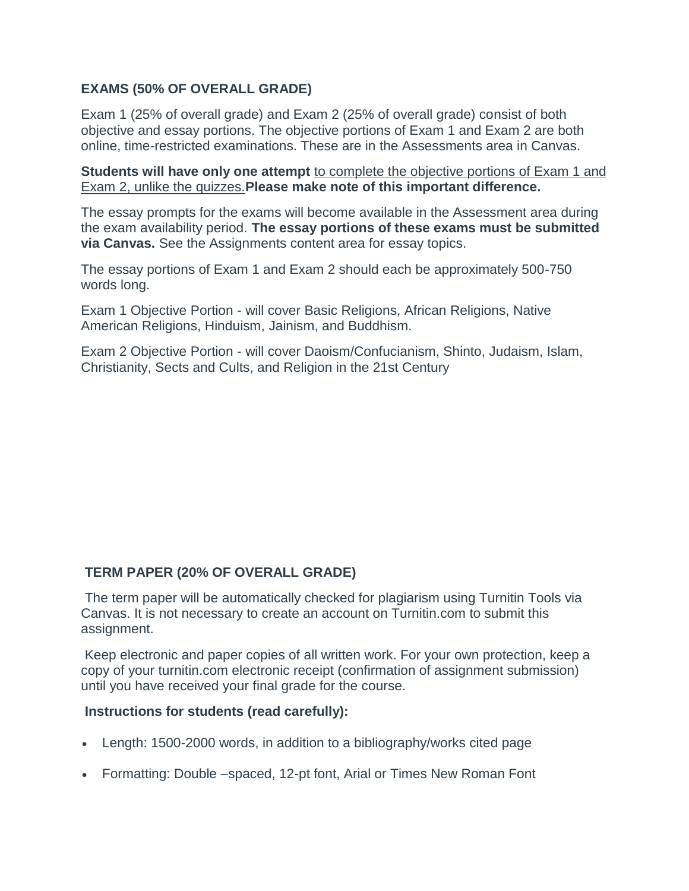# **EXAMS (50% OF OVERALL GRADE)**

Exam 1 (25% of overall grade) and Exam 2 (25% of overall grade) consist of both objective and essay portions. The objective portions of Exam 1 and Exam 2 are both online, time-restricted examinations. These are in the Assessments area in Canvas.

**Students will have only one attempt** to complete the objective portions of Exam 1 and Exam 2, unlike the quizzes.**Please make note of this important difference.**

The essay prompts for the exams will become available in the Assessment area during the exam availability period. **The essay portions of these exams must be submitted via Canvas.** See the Assignments content area for essay topics.

The essay portions of Exam 1 and Exam 2 should each be approximately 500-750 words long.

Exam 1 Objective Portion - will cover Basic Religions, African Religions, Native American Religions, Hinduism, Jainism, and Buddhism.

Exam 2 Objective Portion - will cover Daoism/Confucianism, Shinto, Judaism, Islam, Christianity, Sects and Cults, and Religion in the 21st Century

# **TERM PAPER (20% OF OVERALL GRADE)**

The term paper will be automatically checked for plagiarism using Turnitin Tools via Canvas. It is not necessary to create an account on Turnitin.com to submit this assignment.

Keep electronic and paper copies of all written work. For your own protection, keep a copy of your turnitin.com electronic receipt (confirmation of assignment submission) until you have received your final grade for the course.

#### **Instructions for students (read carefully):**

- Length: 1500-2000 words, in addition to a bibliography/works cited page
- Formatting: Double –spaced, 12-pt font, Arial or Times New Roman Font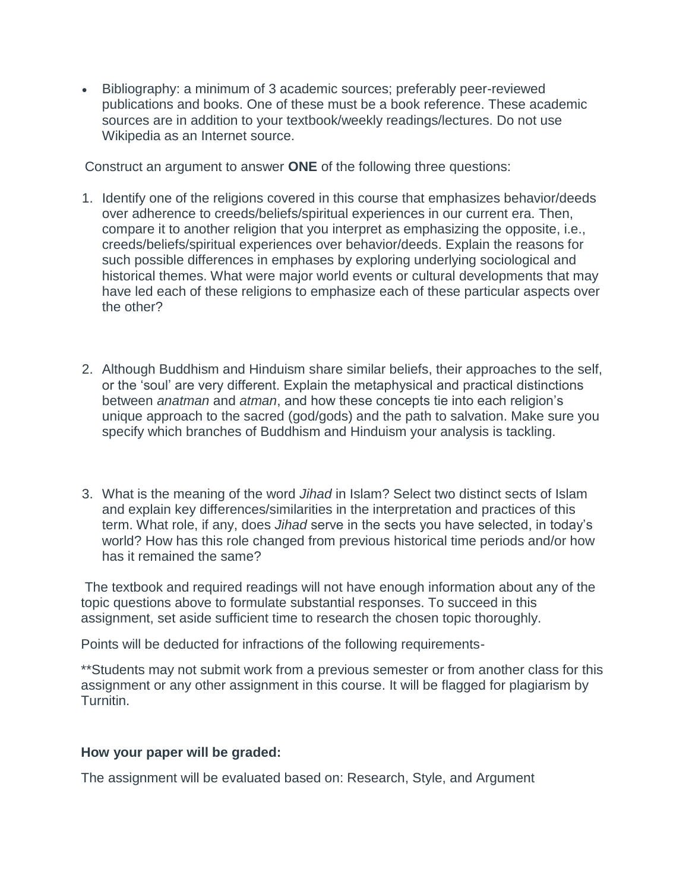• Bibliography: a minimum of 3 academic sources; preferably peer-reviewed publications and books. One of these must be a book reference. These academic sources are in addition to your textbook/weekly readings/lectures. Do not use Wikipedia as an Internet source.

Construct an argument to answer **ONE** of the following three questions:

- 1. Identify one of the religions covered in this course that emphasizes behavior/deeds over adherence to creeds/beliefs/spiritual experiences in our current era. Then, compare it to another religion that you interpret as emphasizing the opposite, i.e., creeds/beliefs/spiritual experiences over behavior/deeds. Explain the reasons for such possible differences in emphases by exploring underlying sociological and historical themes. What were major world events or cultural developments that may have led each of these religions to emphasize each of these particular aspects over the other?
- 2. Although Buddhism and Hinduism share similar beliefs, their approaches to the self, or the 'soul' are very different. Explain the metaphysical and practical distinctions between *anatman* and *atman*, and how these concepts tie into each religion's unique approach to the sacred (god/gods) and the path to salvation. Make sure you specify which branches of Buddhism and Hinduism your analysis is tackling.
- 3. What is the meaning of the word *Jihad* in Islam? Select two distinct sects of Islam and explain key differences/similarities in the interpretation and practices of this term. What role, if any, does *Jihad* serve in the sects you have selected, in today's world? How has this role changed from previous historical time periods and/or how has it remained the same?

The textbook and required readings will not have enough information about any of the topic questions above to formulate substantial responses. To succeed in this assignment, set aside sufficient time to research the chosen topic thoroughly.

Points will be deducted for infractions of the following requirements-

\*\*Students may not submit work from a previous semester or from another class for this assignment or any other assignment in this course. It will be flagged for plagiarism by Turnitin.

#### **How your paper will be graded:**

The assignment will be evaluated based on: Research, Style, and Argument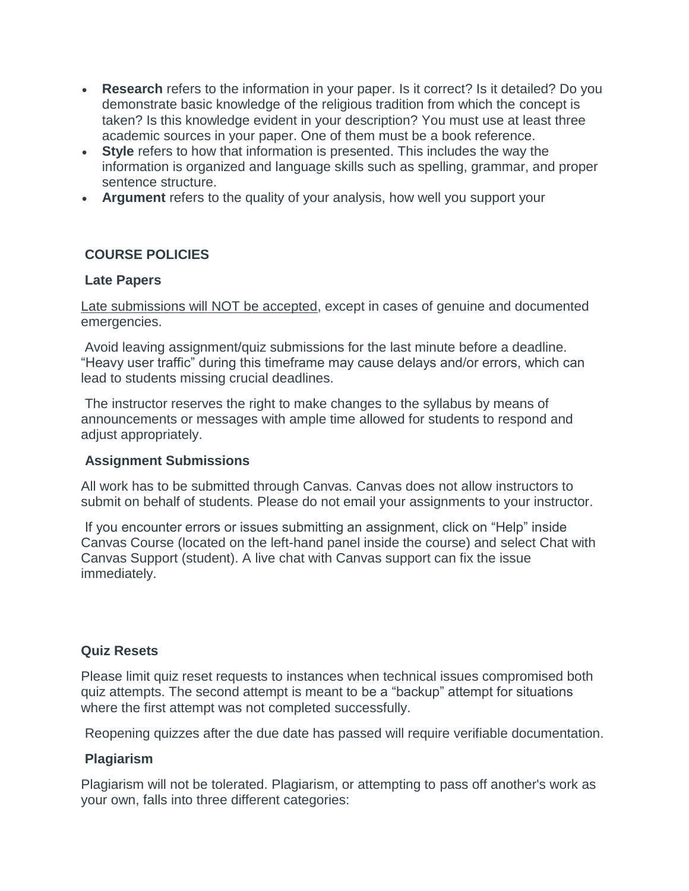- **Research** refers to the information in your paper. Is it correct? Is it detailed? Do you demonstrate basic knowledge of the religious tradition from which the concept is taken? Is this knowledge evident in your description? You must use at least three academic sources in your paper. One of them must be a book reference.
- **Style** refers to how that information is presented. This includes the way the information is organized and language skills such as spelling, grammar, and proper sentence structure.
- **Argument** refers to the quality of your analysis, how well you support your

# **COURSE POLICIES**

#### **Late Papers**

Late submissions will NOT be accepted, except in cases of genuine and documented emergencies.

Avoid leaving assignment/quiz submissions for the last minute before a deadline. "Heavy user traffic" during this timeframe may cause delays and/or errors, which can lead to students missing crucial deadlines.

The instructor reserves the right to make changes to the syllabus by means of announcements or messages with ample time allowed for students to respond and adjust appropriately.

#### **Assignment Submissions**

All work has to be submitted through Canvas. Canvas does not allow instructors to submit on behalf of students. Please do not email your assignments to your instructor.

If you encounter errors or issues submitting an assignment, click on "Help" inside Canvas Course (located on the left-hand panel inside the course) and select Chat with Canvas Support (student). A live chat with Canvas support can fix the issue immediately.

#### **Quiz Resets**

Please limit quiz reset requests to instances when technical issues compromised both quiz attempts. The second attempt is meant to be a "backup" attempt for situations where the first attempt was not completed successfully.

Reopening quizzes after the due date has passed will require verifiable documentation.

#### **Plagiarism**

Plagiarism will not be tolerated. Plagiarism, or attempting to pass off another's work as your own, falls into three different categories: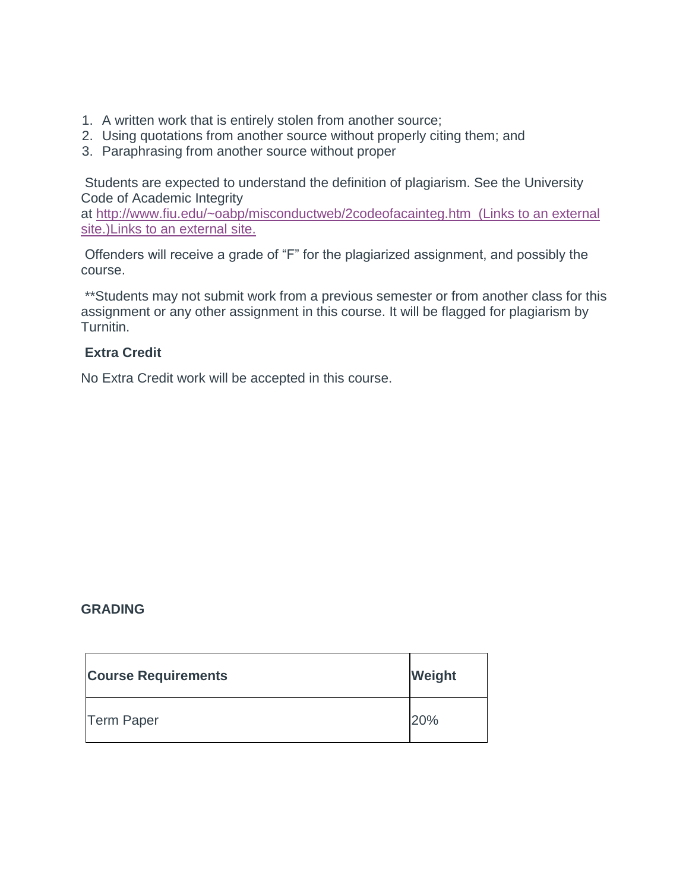- 1. A written work that is entirely stolen from another source;
- 2. Using quotations from another source without properly citing them; and
- 3. Paraphrasing from another source without proper

Students are expected to understand the definition of plagiarism. See the University Code of Academic Integrity

at <http://www.fiu.edu/~oabp/misconductweb/2codeofacainteg.htm> (Links to an external [site.\)Links](http://www.fiu.edu/~oabp/misconductweb/2codeofacainteg.htm) to an external site.

Offenders will receive a grade of "F" for the plagiarized assignment, and possibly the course.

\*\*Students may not submit work from a previous semester or from another class for this assignment or any other assignment in this course. It will be flagged for plagiarism by Turnitin.

### **Extra Credit**

No Extra Credit work will be accepted in this course.

# **GRADING**

| <b>Course Requirements</b> | Weight |
|----------------------------|--------|
| <b>Term Paper</b>          | 20%    |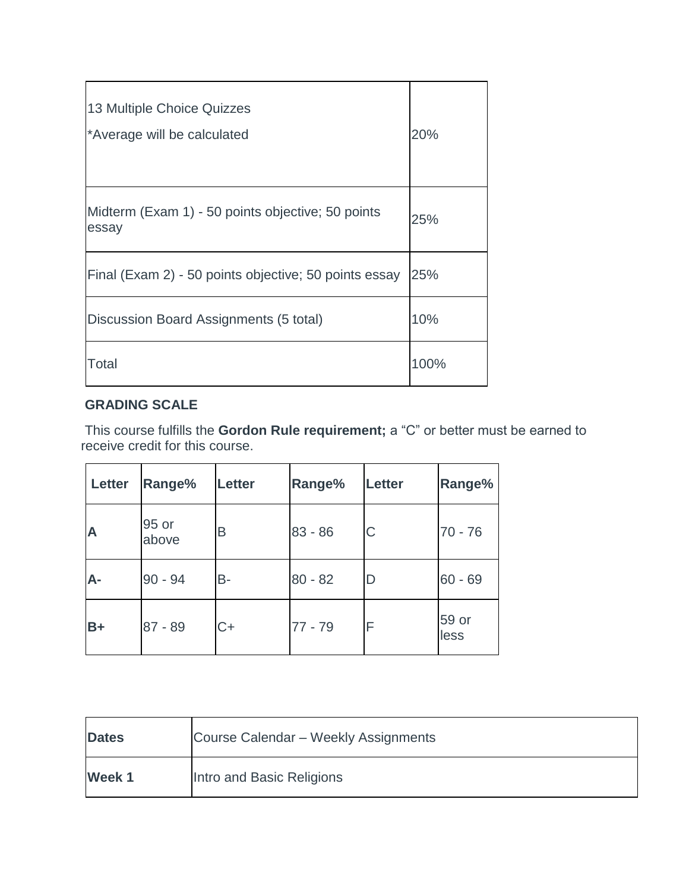| 13 Multiple Choice Quizzes<br>*Average will be calculated  | 20%  |
|------------------------------------------------------------|------|
| Midterm (Exam 1) - 50 points objective; 50 points<br>essay | 25%  |
| Final (Exam 2) - 50 points objective; 50 points essay      | 25%  |
| Discussion Board Assignments (5 total)                     | 10%  |
| Total                                                      | 100% |

# **GRADING SCALE**

This course fulfills the **Gordon Rule requirement;** a "C" or better must be earned to receive credit for this course.

| Letter | Range%         | <b>Letter</b> | Range%    | Letter | Range%        |
|--------|----------------|---------------|-----------|--------|---------------|
| A      | 95 or<br>above | Β             | $83 - 86$ | C      | $70 - 76$     |
| А-     | $90 - 94$      | <b>B-</b>     | $80 - 82$ | D      | $60 - 69$     |
| $B+$   | 87 - 89        | $C+$          | 77 - 79   | F      | 59 or<br>less |

| <b>Dates</b>  | Course Calendar - Weekly Assignments |
|---------------|--------------------------------------|
| <b>Week 1</b> | Intro and Basic Religions            |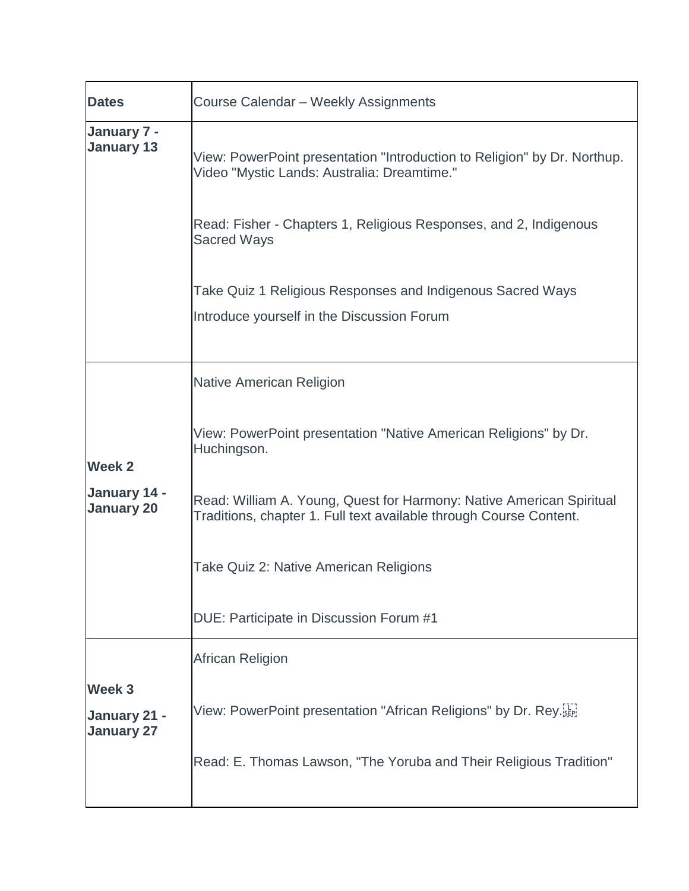| <b>Dates</b>                                | Course Calendar - Weekly Assignments                                                                                                                                                         |
|---------------------------------------------|----------------------------------------------------------------------------------------------------------------------------------------------------------------------------------------------|
| January 7 -<br><b>January 13</b>            | View: PowerPoint presentation "Introduction to Religion" by Dr. Northup.<br>Video "Mystic Lands: Australia: Dreamtime."<br>Read: Fisher - Chapters 1, Religious Responses, and 2, Indigenous |
|                                             | <b>Sacred Ways</b>                                                                                                                                                                           |
|                                             | Take Quiz 1 Religious Responses and Indigenous Sacred Ways<br>Introduce yourself in the Discussion Forum                                                                                     |
|                                             | <b>Native American Religion</b>                                                                                                                                                              |
| Week 2                                      | View: PowerPoint presentation "Native American Religions" by Dr.<br>Huchingson.                                                                                                              |
| January 14 -<br><b>January 20</b>           | Read: William A. Young, Quest for Harmony: Native American Spiritual<br>Traditions, chapter 1. Full text available through Course Content.                                                   |
|                                             | Take Quiz 2: Native American Religions                                                                                                                                                       |
|                                             | DUE: Participate in Discussion Forum #1                                                                                                                                                      |
|                                             | African Religion                                                                                                                                                                             |
| Week 3<br>January 21 -<br><b>January 27</b> | View: PowerPoint presentation "African Religions" by Dr. Rey.                                                                                                                                |
|                                             | Read: E. Thomas Lawson, "The Yoruba and Their Religious Tradition"                                                                                                                           |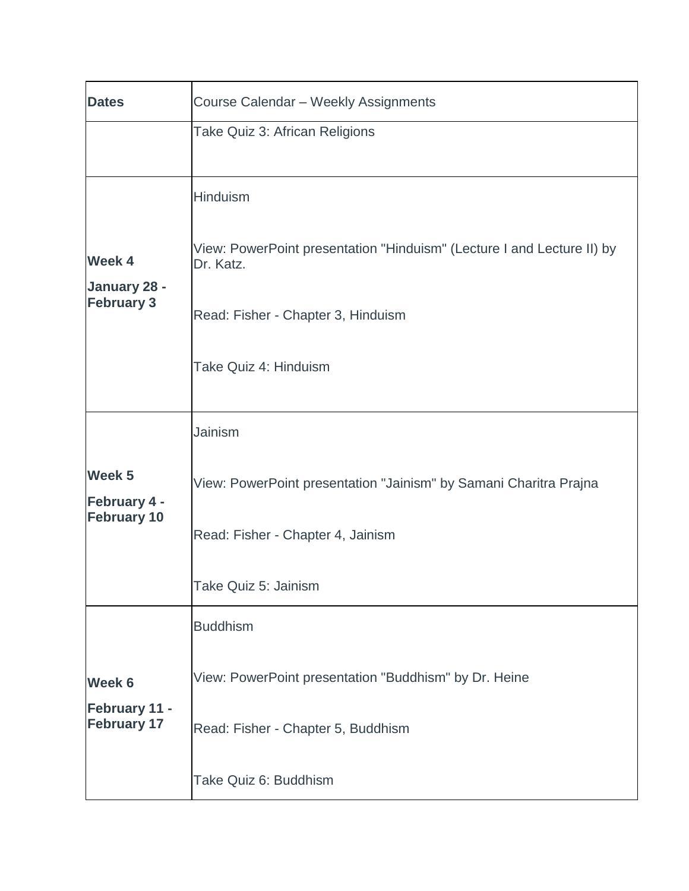| <b>Dates</b>                                            | Course Calendar - Weekly Assignments                                                |
|---------------------------------------------------------|-------------------------------------------------------------------------------------|
|                                                         | Take Quiz 3: African Religions                                                      |
|                                                         | Hinduism                                                                            |
| Week 4                                                  | View: PowerPoint presentation "Hinduism" (Lecture I and Lecture II) by<br>Dr. Katz. |
| January 28 -<br><b>February 3</b>                       | Read: Fisher - Chapter 3, Hinduism                                                  |
|                                                         | Take Quiz 4: Hinduism                                                               |
|                                                         | Jainism                                                                             |
| Week <sub>5</sub><br>February 4 -<br><b>February 10</b> | View: PowerPoint presentation "Jainism" by Samani Charitra Prajna                   |
|                                                         | Read: Fisher - Chapter 4, Jainism                                                   |
|                                                         | Take Quiz 5: Jainism                                                                |
|                                                         | <b>Buddhism</b>                                                                     |
| Week 6                                                  | View: PowerPoint presentation "Buddhism" by Dr. Heine                               |
| <b>February 11 -</b><br><b>February 17</b>              | Read: Fisher - Chapter 5, Buddhism                                                  |
|                                                         | Take Quiz 6: Buddhism                                                               |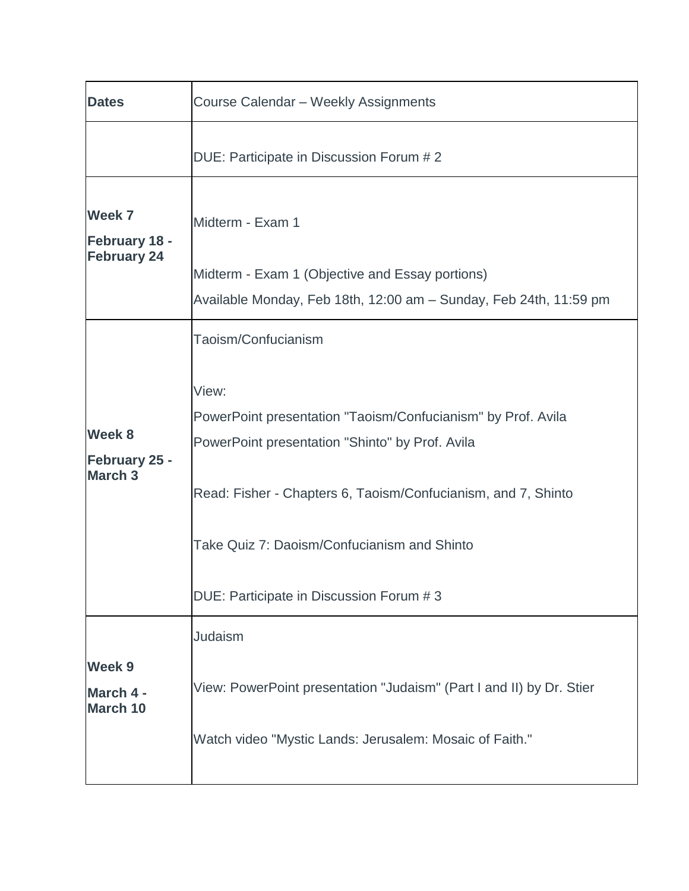| <b>Dates</b>                                     | Course Calendar - Weekly Assignments                                                                                                                                                                                                                                                 |
|--------------------------------------------------|--------------------------------------------------------------------------------------------------------------------------------------------------------------------------------------------------------------------------------------------------------------------------------------|
|                                                  | DUE: Participate in Discussion Forum # 2                                                                                                                                                                                                                                             |
| Week 7<br>February 18 -<br><b>February 24</b>    | Midterm - Exam 1<br>Midterm - Exam 1 (Objective and Essay portions)<br>Available Monday, Feb 18th, 12:00 am - Sunday, Feb 24th, 11:59 pm                                                                                                                                             |
|                                                  | Taoism/Confucianism                                                                                                                                                                                                                                                                  |
| Week 8<br><b>February 25 -</b><br><b>March 3</b> | View:<br>PowerPoint presentation "Taoism/Confucianism" by Prof. Avila<br>PowerPoint presentation "Shinto" by Prof. Avila<br>Read: Fisher - Chapters 6, Taoism/Confucianism, and 7, Shinto<br>Take Quiz 7: Daoism/Confucianism and Shinto<br>DUE: Participate in Discussion Forum # 3 |
|                                                  | Judaism                                                                                                                                                                                                                                                                              |
| Week 9<br>March 4 -<br>March 10                  | View: PowerPoint presentation "Judaism" (Part I and II) by Dr. Stier<br>Watch video "Mystic Lands: Jerusalem: Mosaic of Faith."                                                                                                                                                      |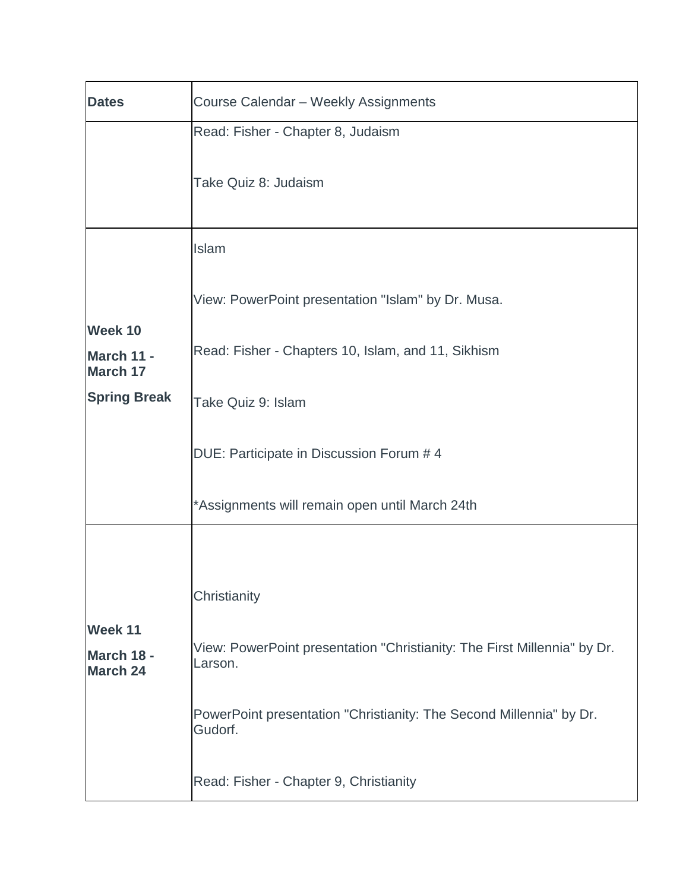| <b>Dates</b>                             | Course Calendar - Weekly Assignments                                                       |  |  |
|------------------------------------------|--------------------------------------------------------------------------------------------|--|--|
|                                          | Read: Fisher - Chapter 8, Judaism                                                          |  |  |
|                                          | Take Quiz 8: Judaism                                                                       |  |  |
|                                          | Islam                                                                                      |  |  |
|                                          | View: PowerPoint presentation "Islam" by Dr. Musa.                                         |  |  |
| Week 10<br>March 11 -<br><b>March 17</b> | Read: Fisher - Chapters 10, Islam, and 11, Sikhism                                         |  |  |
| <b>Spring Break</b>                      | Take Quiz 9: Islam                                                                         |  |  |
|                                          | DUE: Participate in Discussion Forum # 4<br>*Assignments will remain open until March 24th |  |  |
|                                          |                                                                                            |  |  |
| Week 11                                  | Christianity                                                                               |  |  |
| March 18 -<br><b>March 24</b>            | View: PowerPoint presentation "Christianity: The First Millennia" by Dr.<br>Larson.        |  |  |
|                                          | PowerPoint presentation "Christianity: The Second Millennia" by Dr.<br>Gudorf.             |  |  |
|                                          | Read: Fisher - Chapter 9, Christianity                                                     |  |  |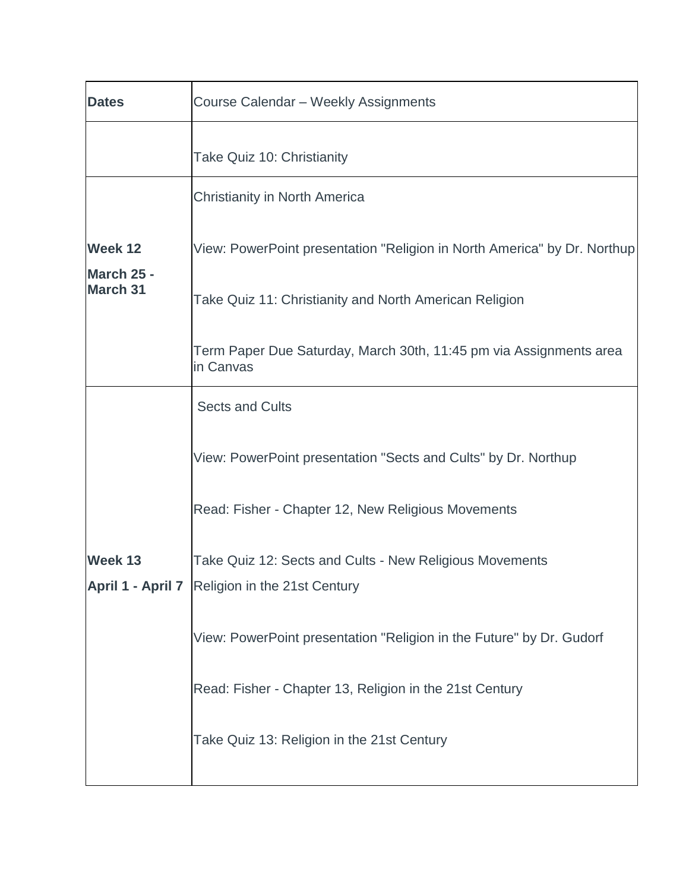| <b>Dates</b>                  | Course Calendar - Weekly Assignments                                                                      |
|-------------------------------|-----------------------------------------------------------------------------------------------------------|
|                               | Take Quiz 10: Christianity                                                                                |
|                               | <b>Christianity in North America</b>                                                                      |
| Week 12                       | View: PowerPoint presentation "Religion in North America" by Dr. Northup                                  |
| March 25 -<br><b>March 31</b> | Take Quiz 11: Christianity and North American Religion                                                    |
|                               | Term Paper Due Saturday, March 30th, 11:45 pm via Assignments area<br>in Canvas                           |
|                               | <b>Sects and Cults</b>                                                                                    |
|                               | View: PowerPoint presentation "Sects and Cults" by Dr. Northup                                            |
|                               | Read: Fisher - Chapter 12, New Religious Movements                                                        |
| Week 13                       | Take Quiz 12: Sects and Cults - New Religious Movements<br>April 1 - April 7 Religion in the 21st Century |
|                               | View: PowerPoint presentation "Religion in the Future" by Dr. Gudorf                                      |
|                               | Read: Fisher - Chapter 13, Religion in the 21st Century                                                   |
|                               | Take Quiz 13: Religion in the 21st Century                                                                |